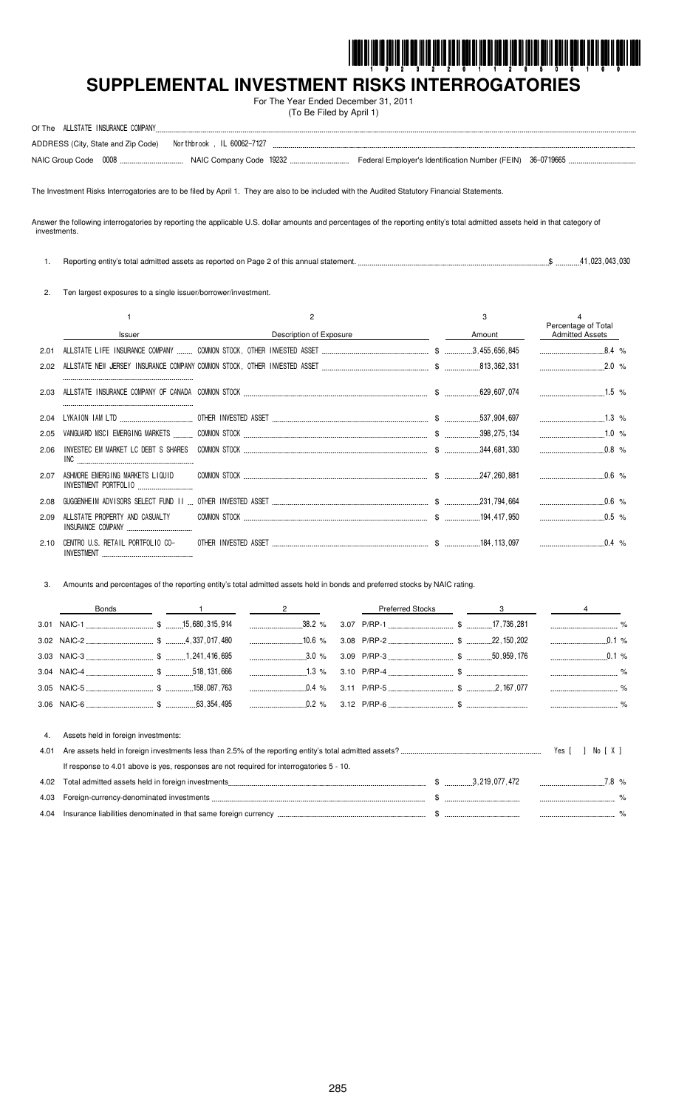

# SUPPLEMENTAL INVESTMENT RISKS INTERROGATORIES

For The Year Ended December 31, 2011 (To Be Filed by April 1)

| Of The | ALLSTATE INSURANCE COMPANY |                                                                 |  |  |
|--------|----------------------------|-----------------------------------------------------------------|--|--|
|        |                            | ADDRESS (City, State and Zip Code)    Morthbrook, IL 60062-7127 |  |  |
|        |                            |                                                                 |  |  |

The Investment Risks Interrogatories are to be filed by April 1. They are also to be included with the Audited Statutory Financial Statements.

Answer the following interrogatories by reporting the applicable U.S. dollar amounts and percentages of the reporting entity's total admitted assets held in that category of investments.

1. Reporting entity's total admitted assets as reported on Page 2 of this annual statement. ...  $\$\dots$ \$ ..............41,023,043,030

2. Ten largest exposures to a single issuer/borrower/investment.

|      |                                |                         | 3      |                                               |
|------|--------------------------------|-------------------------|--------|-----------------------------------------------|
|      | <b>Issuer</b>                  | Description of Exposure | Amount | Percentage of Total<br><b>Admitted Assets</b> |
| 2.01 |                                |                         |        |                                               |
| 2.02 |                                |                         |        |                                               |
| 2.03 |                                |                         |        |                                               |
| 2.04 |                                |                         |        |                                               |
| 2.05 |                                |                         |        |                                               |
| 2.06 |                                |                         |        |                                               |
| 2.07 | INVESTMENT PORTFOLIO           |                         |        |                                               |
| 2.08 |                                |                         |        | $0.6\%$                                       |
| 2.09 | ALLSTATE PROPERTY AND CASUALTY |                         |        |                                               |
| 2.10 |                                |                         |        |                                               |

Amounts and percentages of the reporting entity's total admitted assets held in bonds and preferred stocks by NAIC rating.  $3.$ 

|    | Bonds                               |  |  | <b>Preferred Stocks</b> | $\sim$ 3 |          |
|----|-------------------------------------|--|--|-------------------------|----------|----------|
|    |                                     |  |  |                         |          |          |
|    |                                     |  |  |                         |          |          |
|    |                                     |  |  |                         |          | $0.1\%$  |
|    |                                     |  |  |                         |          |          |
|    |                                     |  |  |                         |          |          |
|    |                                     |  |  |                         |          |          |
| 4. | Assets held in foreign investments: |  |  |                         |          |          |
|    |                                     |  |  |                         |          | No [ X ] |

| If response to 4.01 above is yes, responses are not required for interrogatories 5 - 10. |               |      |
|------------------------------------------------------------------------------------------|---------------|------|
|                                                                                          | 3.219.077.472 | 78 % |
|                                                                                          |               |      |
| 4.04 Insurance liabilities denominated in that same foreign currency                     |               |      |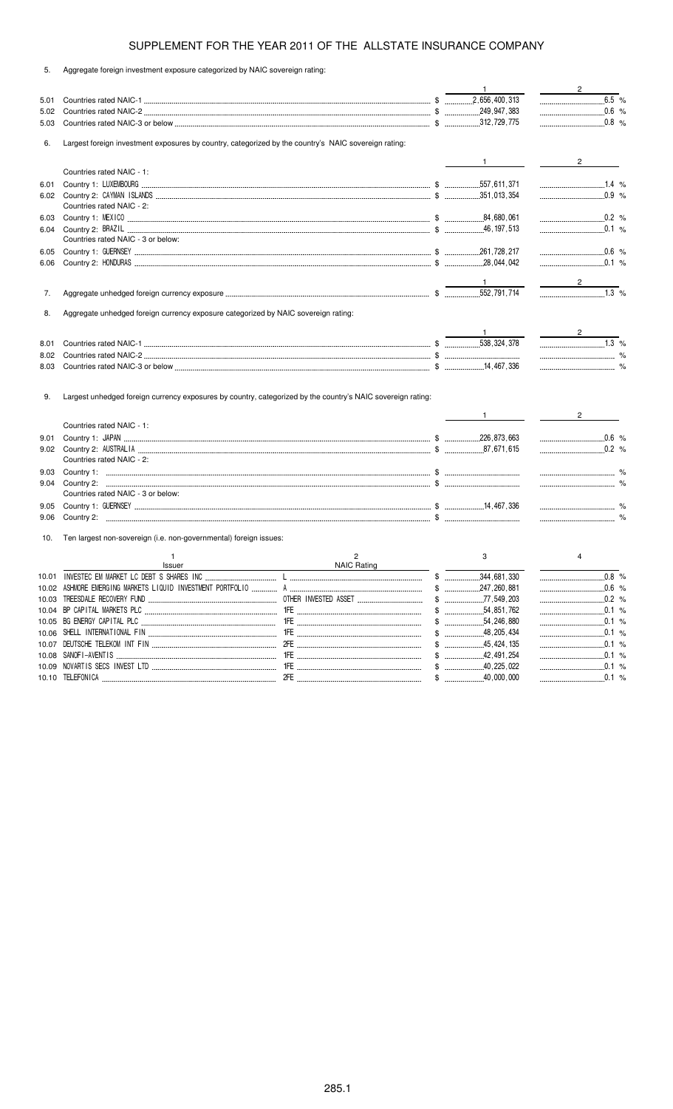5. Aggregate foreign investment exposure categorized by NAIC sovereign rating:

|       |                                                                                                             |                    | $\overline{1}$    | $\frac{2}{2}$                                                                                                                                             |
|-------|-------------------------------------------------------------------------------------------------------------|--------------------|-------------------|-----------------------------------------------------------------------------------------------------------------------------------------------------------|
| 5.01  |                                                                                                             |                    |                   | $\underbrace{\qquad \qquad }{\qquad \qquad }.\underline{\qquad \qquad }.\underline{\qquad \qquad }.\underline{\qquad \qquad }.\underline{\qquad \qquad }$ |
| 5.02  |                                                                                                             |                    |                   | $0.6 %$                                                                                                                                                   |
| 5.03  |                                                                                                             |                    |                   |                                                                                                                                                           |
| 6.    | Largest foreign investment exposures by country, categorized by the country's NAIC sovereign rating:        |                    |                   |                                                                                                                                                           |
|       |                                                                                                             |                    | $\frac{1}{1}$     | $\frac{2}{\sqrt{2}}$                                                                                                                                      |
|       | Countries rated NAIC - 1:                                                                                   |                    |                   |                                                                                                                                                           |
| 6.01  |                                                                                                             |                    |                   |                                                                                                                                                           |
|       |                                                                                                             |                    |                   | $\ldots$ 0.9 %                                                                                                                                            |
|       | Countries rated NAIC - 2:                                                                                   |                    |                   |                                                                                                                                                           |
| 6.03  |                                                                                                             |                    |                   | $0.2$ %                                                                                                                                                   |
| 6.04  |                                                                                                             |                    |                   |                                                                                                                                                           |
|       | Countries rated NAIC - 3 or below:                                                                          |                    |                   |                                                                                                                                                           |
| 6.05  |                                                                                                             |                    |                   | $\ldots$ 0.6 %                                                                                                                                            |
| 6.06  |                                                                                                             |                    |                   | $\ldots$ 0.1 %                                                                                                                                            |
|       |                                                                                                             |                    |                   |                                                                                                                                                           |
| 7.    |                                                                                                             |                    |                   |                                                                                                                                                           |
|       |                                                                                                             |                    |                   |                                                                                                                                                           |
| 8.    | Aggregate unhedged foreign currency exposure categorized by NAIC sovereign rating:                          |                    |                   |                                                                                                                                                           |
|       |                                                                                                             |                    |                   | $\frac{2}{\sqrt{2}}$                                                                                                                                      |
| 8.01  |                                                                                                             |                    |                   | $1.3$ %                                                                                                                                                   |
| 8.02  |                                                                                                             |                    |                   |                                                                                                                                                           |
| 8.03  |                                                                                                             |                    |                   |                                                                                                                                                           |
| 9.    | Largest unhedged foreign currency exposures by country, categorized by the country's NAIC sovereign rating: |                    |                   | $\frac{1}{2}$                                                                                                                                             |
|       | Countries rated NAIC - 1:                                                                                   |                    |                   |                                                                                                                                                           |
| 9.01  |                                                                                                             |                    |                   | $\ldots$ 0.6 %                                                                                                                                            |
|       |                                                                                                             |                    |                   | $0.2$ %                                                                                                                                                   |
|       | Countries rated NAIC - 2:                                                                                   |                    |                   |                                                                                                                                                           |
| 9.03  |                                                                                                             |                    |                   |                                                                                                                                                           |
| 9.04  |                                                                                                             |                    |                   |                                                                                                                                                           |
|       | Countries rated NAIC - 3 or below:                                                                          |                    |                   |                                                                                                                                                           |
| 9.05  |                                                                                                             |                    |                   |                                                                                                                                                           |
| 9.06  |                                                                                                             |                    |                   | $\sim$ $\sim$ $\sim$ $\sim$ $\sim$ $\sim$                                                                                                                 |
| 10.   | Ten largest non-sovereign (i.e. non-governmental) foreign issues:                                           |                    |                   |                                                                                                                                                           |
|       |                                                                                                             | 2                  | 3                 | 4                                                                                                                                                         |
|       | Issuer<br>10.01 INVESTEC EM MARKET LC DEBT S SHARES INC                                                     | <b>NAIC Rating</b> | \$<br>344 681 330 | 0.8%                                                                                                                                                      |
|       |                                                                                                             |                    |                   |                                                                                                                                                           |
| 10.03 |                                                                                                             |                    |                   |                                                                                                                                                           |
|       |                                                                                                             |                    |                   |                                                                                                                                                           |
|       |                                                                                                             |                    |                   |                                                                                                                                                           |
|       |                                                                                                             |                    |                   | 0.1%                                                                                                                                                      |
| 10.07 |                                                                                                             |                    |                   |                                                                                                                                                           |
|       |                                                                                                             |                    |                   |                                                                                                                                                           |
|       |                                                                                                             |                    |                   |                                                                                                                                                           |
|       |                                                                                                             |                    |                   | $\ldots$ 0.1 %                                                                                                                                            |
|       |                                                                                                             |                    |                   | .0.1%<br>$\ldots$ 0.1 %                                                                                                                                   |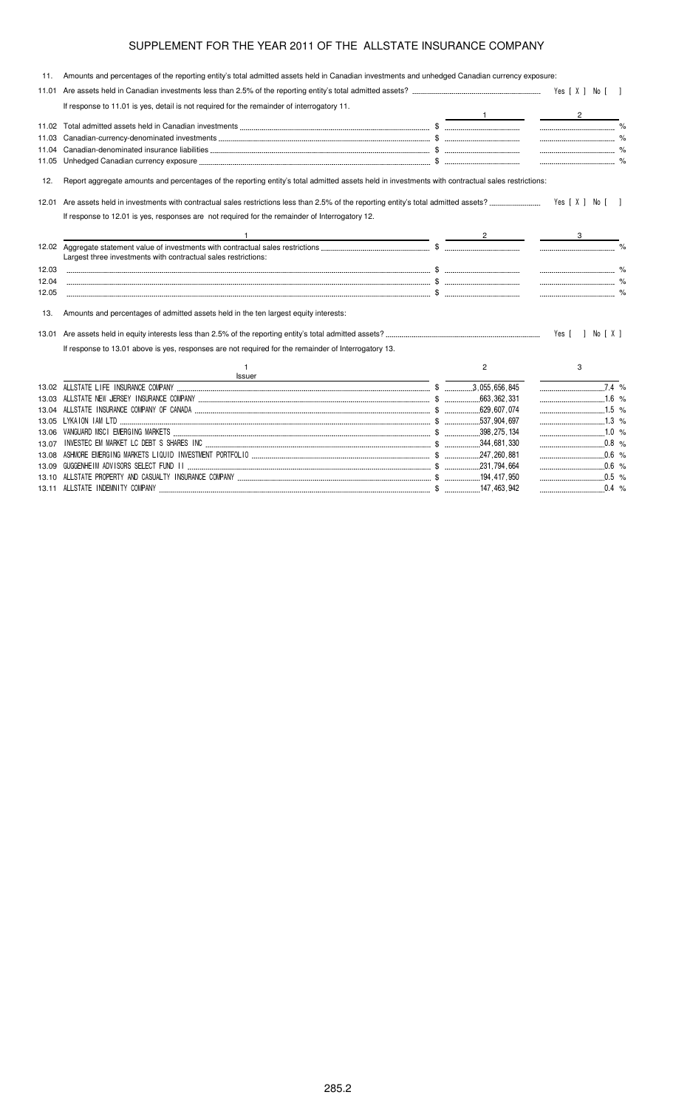|       | 11. Amounts and percentages of the reporting entity's total admitted assets held in Canadian investments and unhedged Canadian currency exposure: |                |                          |  |
|-------|---------------------------------------------------------------------------------------------------------------------------------------------------|----------------|--------------------------|--|
| 11.01 |                                                                                                                                                   |                |                          |  |
|       | If response to 11.01 is yes, detail is not required for the remainder of interrogatory 11.                                                        |                |                          |  |
|       |                                                                                                                                                   |                | $\overline{2}$           |  |
| 11.02 |                                                                                                                                                   |                |                          |  |
| 11.03 |                                                                                                                                                   |                |                          |  |
|       |                                                                                                                                                   |                |                          |  |
|       |                                                                                                                                                   |                |                          |  |
| 12.   | Report aggregate amounts and percentages of the reporting entity's total admitted assets held in investments with contractual sales restrictions: |                |                          |  |
| 12.01 |                                                                                                                                                   |                |                          |  |
|       | If response to 12.01 is yes, responses are not required for the remainder of Interrogatory 12.                                                    |                |                          |  |
|       | the contract of the contract of the contract of the contract of the contract of the contract of                                                   |                |                          |  |
|       |                                                                                                                                                   |                | $\overline{\phantom{a}}$ |  |
|       | Largest three investments with contractual sales restrictions:                                                                                    |                |                          |  |
| 12.03 |                                                                                                                                                   |                |                          |  |
| 12.04 |                                                                                                                                                   |                |                          |  |
| 12.05 |                                                                                                                                                   |                |                          |  |
| 13.   | Amounts and percentages of admitted assets held in the ten largest equity interests:                                                              |                |                          |  |
| 13.01 |                                                                                                                                                   |                | Yes [ ] No [ X ]         |  |
|       | If response to 13.01 above is yes, responses are not required for the remainder of Interrogatory 13.                                              |                |                          |  |
|       | Issuer                                                                                                                                            | $\overline{2}$ | 3                        |  |
|       |                                                                                                                                                   |                | $\overline{7.4}$ %       |  |
| 13.03 |                                                                                                                                                   |                | $\ldots$ 1.6 %           |  |
|       |                                                                                                                                                   |                | $1.5$ %                  |  |
|       |                                                                                                                                                   |                |                          |  |
| 13.06 |                                                                                                                                                   |                |                          |  |
| 13.07 |                                                                                                                                                   |                | $\frac{1}{2}$ 0.8 %      |  |
| 13.08 |                                                                                                                                                   |                | $\frac{1}{2}$ 0.6 %      |  |
|       |                                                                                                                                                   |                | $0.6 %$                  |  |
|       |                                                                                                                                                   |                |                          |  |

13.10  \$   \$ #%#% % 13.11  \$ \$ #%" %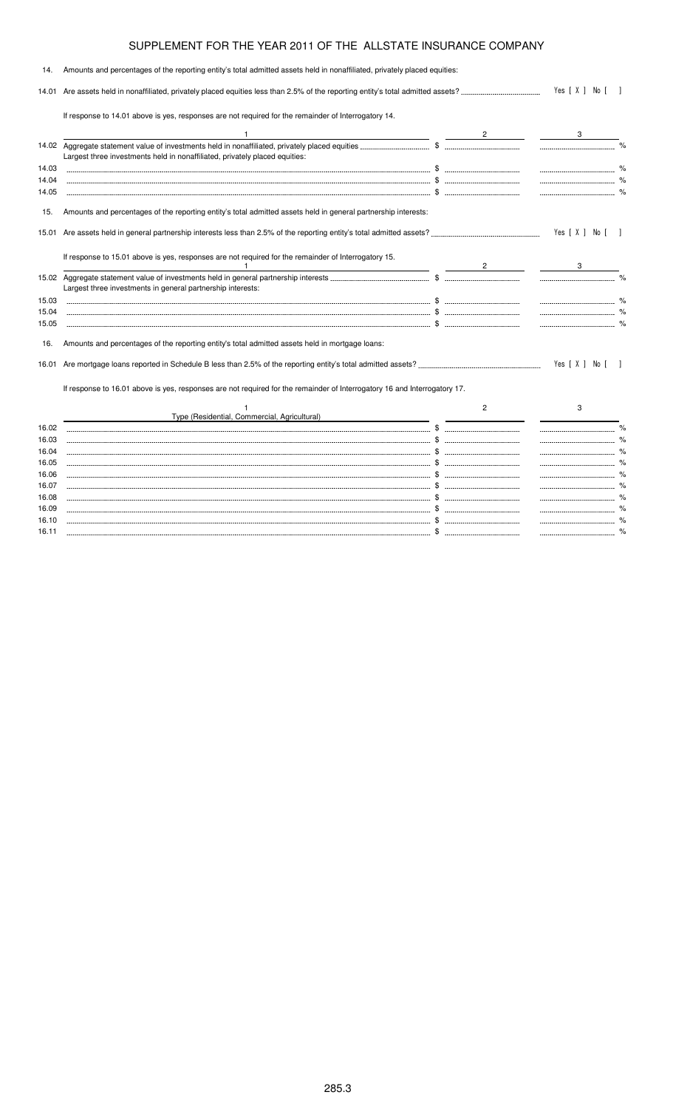| 14.            | Amounts and percentages of the reporting entity's total admitted assets held in nonaffiliated, privately placed equities: |                                |                  |                |
|----------------|---------------------------------------------------------------------------------------------------------------------------|--------------------------------|------------------|----------------|
| 14.01          |                                                                                                                           | Yes [ X ] No [                 |                  |                |
|                | If response to 14.01 above is yes, responses are not required for the remainder of Interrogatory 14.                      |                                |                  |                |
|                |                                                                                                                           | $2 \left( \frac{1}{2} \right)$ |                  |                |
|                | Largest three investments held in nonaffiliated, privately placed equities:                                               |                                |                  |                |
| 14.03          |                                                                                                                           |                                |                  |                |
| 14.04          |                                                                                                                           |                                |                  |                |
| 14.05          |                                                                                                                           |                                |                  |                |
| 15.            | Amounts and percentages of the reporting entity's total admitted assets held in general partnership interests:            |                                |                  |                |
|                |                                                                                                                           |                                | Yes [ X ] No [ ] |                |
|                | If response to 15.01 above is yes, responses are not required for the remainder of Interrogatory 15.                      | $\sim$ 2                       |                  |                |
|                | Largest three investments in general partnership interests:                                                               |                                |                  |                |
| 15.03          |                                                                                                                           |                                |                  |                |
| 15.04          |                                                                                                                           |                                |                  |                |
| 15.05          |                                                                                                                           |                                |                  |                |
| 16.            | Amounts and percentages of the reporting entity's total admitted assets held in mortgage loans:                           |                                |                  |                |
|                |                                                                                                                           |                                | Yes [ X ] No [   | $\blacksquare$ |
|                | If response to 16.01 above is yes, responses are not required for the remainder of Interrogatory 16 and Interrogatory 17. |                                |                  |                |
|                |                                                                                                                           | $\overline{c}$                 | 3                |                |
|                | Type (Residential, Commercial, Agricultural)                                                                              |                                |                  |                |
| 16.02          |                                                                                                                           |                                |                  |                |
| 16.03          |                                                                                                                           |                                |                  |                |
| 16.04          |                                                                                                                           |                                |                  |                |
| 16.05          |                                                                                                                           |                                |                  |                |
| 16.06          |                                                                                                                           |                                |                  |                |
| 16.07          |                                                                                                                           |                                |                  |                |
| 16.08<br>16.09 |                                                                                                                           |                                |                  |                |
|                |                                                                                                                           |                                |                  |                |

16.10 \$ % 16.11 \$ %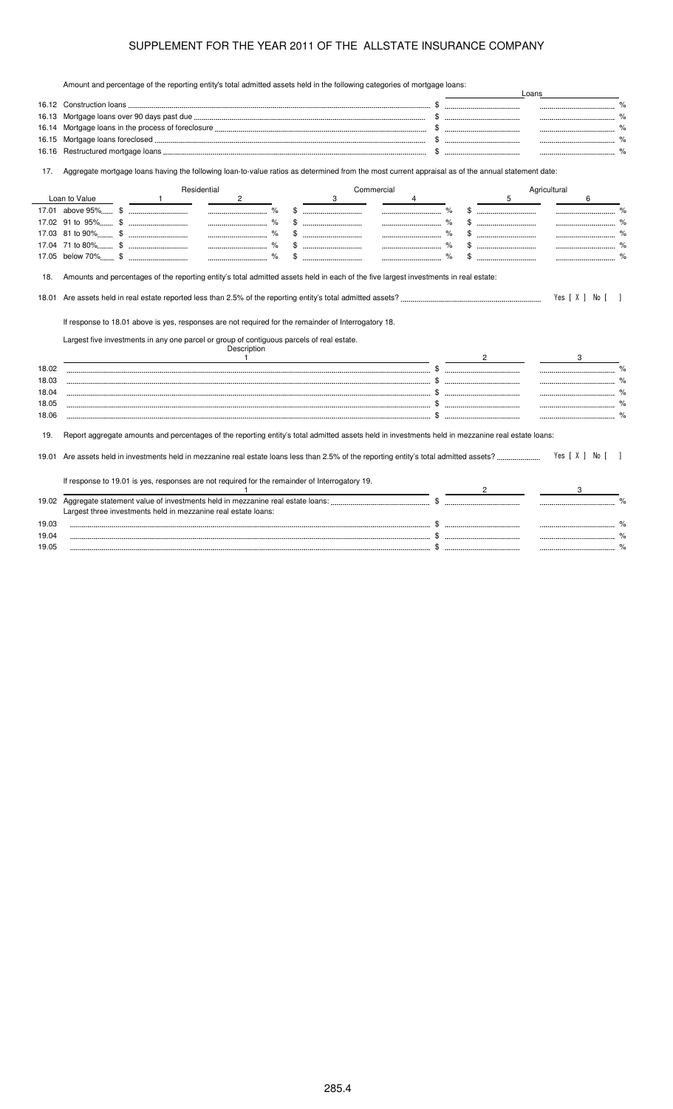Amount and percentage of the reporting entity's total admitted assets held in the following categories of mortgage loans:

|                         |               |              |                                                                                                                                                                                                                  |             |   |            |   |              |   | Loans        |                |               |
|-------------------------|---------------|--------------|------------------------------------------------------------------------------------------------------------------------------------------------------------------------------------------------------------------|-------------|---|------------|---|--------------|---|--------------|----------------|---------------|
|                         |               |              |                                                                                                                                                                                                                  |             |   |            |   |              |   |              |                |               |
| 16.13                   |               |              |                                                                                                                                                                                                                  |             |   |            |   |              |   |              |                |               |
| 16.14                   |               |              |                                                                                                                                                                                                                  |             |   |            |   |              |   |              |                |               |
| 16.15                   |               |              |                                                                                                                                                                                                                  |             |   |            |   |              |   |              |                |               |
| 16.16                   |               |              |                                                                                                                                                                                                                  |             |   |            |   |              |   |              | $\%$           |               |
| 17.                     |               |              | Aggregate mortgage loans having the following loan-to-value ratios as determined from the most current appraisal as of the annual statement date:                                                                |             |   |            |   |              |   |              |                |               |
|                         |               |              | Residential                                                                                                                                                                                                      |             |   | Commercial |   |              |   | Agricultural |                |               |
|                         | Loan to Value | $\mathbf{1}$ | $\overline{2}$                                                                                                                                                                                                   |             | 3 |            | 4 |              | 5 |              | 6              |               |
|                         |               |              |                                                                                                                                                                                                                  |             |   |            |   |              |   |              |                |               |
|                         |               |              |                                                                                                                                                                                                                  | \$          |   |            |   |              |   |              |                |               |
|                         |               |              |                                                                                                                                                                                                                  | $\%$<br>\$. |   |            |   |              |   |              |                |               |
|                         |               |              |                                                                                                                                                                                                                  |             |   |            |   |              |   |              |                |               |
|                         |               |              |                                                                                                                                                                                                                  |             |   |            |   |              |   |              |                |               |
| 18.01                   |               |              |                                                                                                                                                                                                                  |             |   |            |   |              |   |              | Yes [ X ] No [ |               |
|                         |               |              | If response to 18.01 above is yes, responses are not required for the remainder of Interrogatory 18.<br>Largest five investments in any one parcel or group of contiguous parcels of real estate.<br>Description |             |   |            |   |              |   |              |                |               |
|                         |               |              | $\overline{1}$                                                                                                                                                                                                   |             |   |            |   | $\mathbf{2}$ |   |              |                |               |
|                         |               |              |                                                                                                                                                                                                                  |             |   |            |   |              |   |              |                |               |
|                         |               |              |                                                                                                                                                                                                                  |             |   |            |   |              |   |              |                |               |
| 18.02<br>18.03<br>18.04 |               |              |                                                                                                                                                                                                                  |             |   |            |   |              |   |              |                |               |
| 18.05<br>18.06          |               |              |                                                                                                                                                                                                                  |             |   |            |   |              |   |              |                |               |
| 19.                     |               |              | Report aggregate amounts and percentages of the reporting entity's total admitted assets held in investments held in mezzanine real estate loans:                                                                |             |   |            |   |              |   |              |                |               |
|                         |               |              |                                                                                                                                                                                                                  |             |   |            |   |              |   |              | Yes [ X ] No [ |               |
|                         |               |              | If response to 19.01 is yes, responses are not required for the remainder of Interrogatory 19.                                                                                                                   |             |   |            |   |              |   |              |                |               |
|                         |               |              |                                                                                                                                                                                                                  |             |   |            |   |              |   |              |                |               |
|                         |               |              |                                                                                                                                                                                                                  |             |   |            |   |              |   |              |                |               |
|                         |               |              | Largest three investments held in mezzanine real estate loans:                                                                                                                                                   |             |   |            |   |              |   |              |                |               |
| 19.01<br>19.02<br>19.03 |               |              |                                                                                                                                                                                                                  |             |   |            |   |              |   |              |                | $\frac{1}{2}$ |
| 19.04<br>19.05          |               |              |                                                                                                                                                                                                                  |             |   |            |   |              |   |              |                | %             |